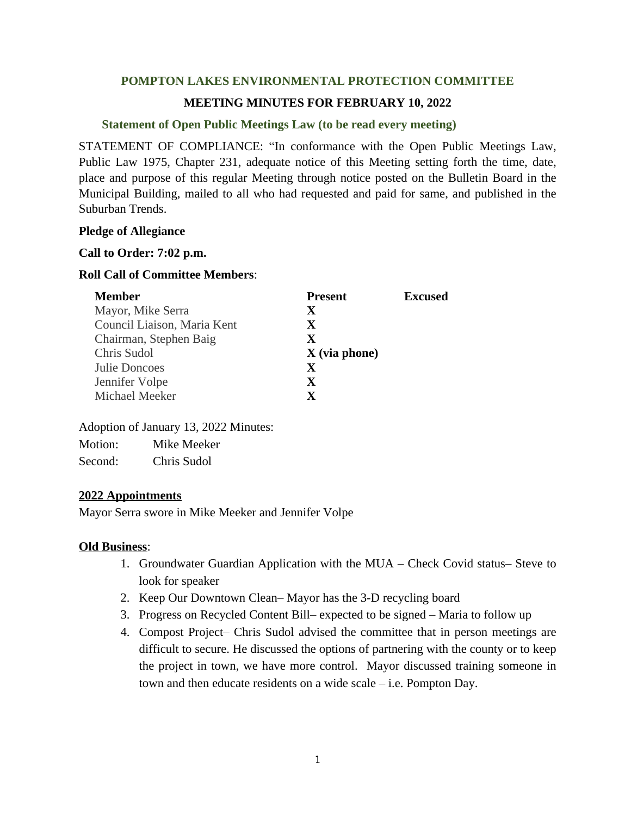# **POMPTON LAKES ENVIRONMENTAL PROTECTION COMMITTEE**

## **MEETING MINUTES FOR FEBRUARY 10, 2022**

## **Statement of Open Public Meetings Law (to be read every meeting)**

STATEMENT OF COMPLIANCE: "In conformance with the Open Public Meetings Law, Public Law 1975, Chapter 231, adequate notice of this Meeting setting forth the time, date, place and purpose of this regular Meeting through notice posted on the Bulletin Board in the Municipal Building, mailed to all who had requested and paid for same, and published in the Suburban Trends.

#### **Pledge of Allegiance**

#### **Call to Order: 7:02 p.m.**

## **Roll Call of Committee Members**:

| <b>Member</b>               | <b>Present</b>  | <b>Excused</b> |
|-----------------------------|-----------------|----------------|
| Mayor, Mike Serra           | X               |                |
| Council Liaison, Maria Kent | $\mathbf X$     |                |
| Chairman, Stephen Baig      | $\mathbf X$     |                |
| Chris Sudol                 | $X$ (via phone) |                |
| Julie Doncoes               | $\mathbf x$     |                |
| Jennifer Volpe              | $\mathbf X$     |                |
| Michael Meeker              | <b>Y</b>        |                |

Adoption of January 13, 2022 Minutes:

| Motion: | Mike Meeker |
|---------|-------------|
| Second: | Chris Sudol |

## **2022 Appointments**

Mayor Serra swore in Mike Meeker and Jennifer Volpe

## **Old Business**:

- 1. Groundwater Guardian Application with the MUA Check Covid status– Steve to look for speaker
- 2. Keep Our Downtown Clean– Mayor has the 3-D recycling board
- 3. Progress on Recycled Content Bill– expected to be signed Maria to follow up
- 4. Compost Project– Chris Sudol advised the committee that in person meetings are difficult to secure. He discussed the options of partnering with the county or to keep the project in town, we have more control. Mayor discussed training someone in town and then educate residents on a wide scale – i.e. Pompton Day.